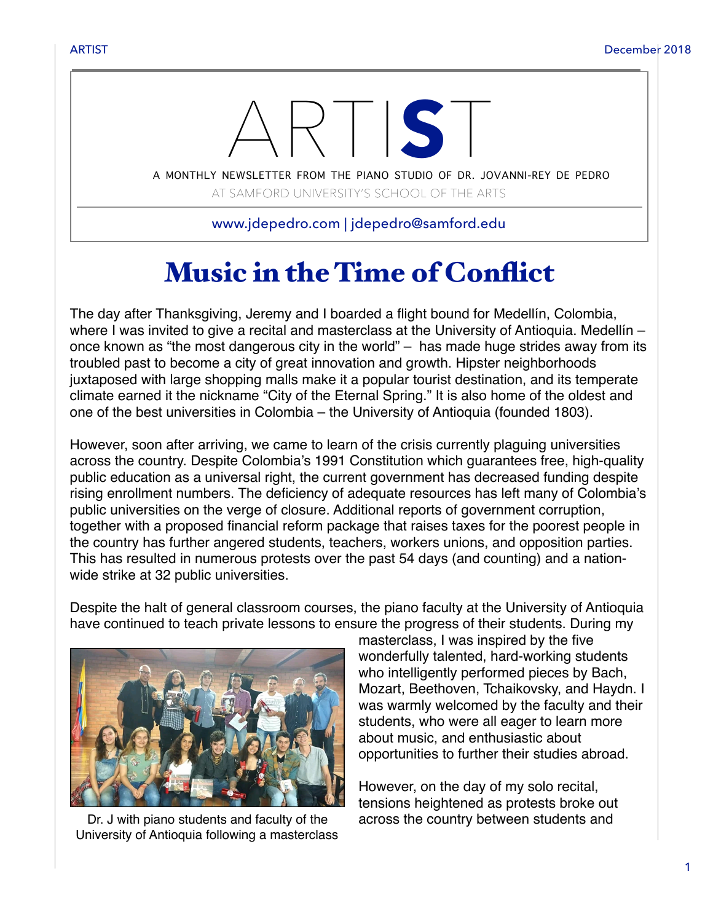

AT SAMFORD UNIVERSITY'S SCHOOL OF THE ARTS

www.jdepedro.com | jdepedro@samford.edu

## Music in the Time of Conflict

The day after Thanksgiving, Jeremy and I boarded a flight bound for Medellín, Colombia, where I was invited to give a recital and masterclass at the University of Antioquia. Medellín – once known as "the most dangerous city in the world" – has made huge strides away from its troubled past to become a city of great innovation and growth. Hipster neighborhoods juxtaposed with large shopping malls make it a popular tourist destination, and its temperate climate earned it the nickname "City of the Eternal Spring." It is also home of the oldest and one of the best universities in Colombia – the University of Antioquia (founded 1803).

However, soon after arriving, we came to learn of the crisis currently plaguing universities across the country. Despite Colombia's 1991 Constitution which guarantees free, high-quality public education as a universal right, the current government has decreased funding despite rising enrollment numbers. The deficiency of adequate resources has left many of Colombia's public universities on the verge of closure. Additional reports of government corruption, together with a proposed financial reform package that raises taxes for the poorest people in the country has further angered students, teachers, workers unions, and opposition parties. This has resulted in numerous protests over the past 54 days (and counting) and a nationwide strike at 32 public universities.

Despite the halt of general classroom courses, the piano faculty at the University of Antioquia have continued to teach private lessons to ensure the progress of their students. During my



Dr. J with piano students and faculty of the University of Antioquia following a masterclass

masterclass, I was inspired by the five wonderfully talented, hard-working students who intelligently performed pieces by Bach, Mozart, Beethoven, Tchaikovsky, and Haydn. I was warmly welcomed by the faculty and their students, who were all eager to learn more about music, and enthusiastic about opportunities to further their studies abroad.

However, on the day of my solo recital, tensions heightened as protests broke out across the country between students and